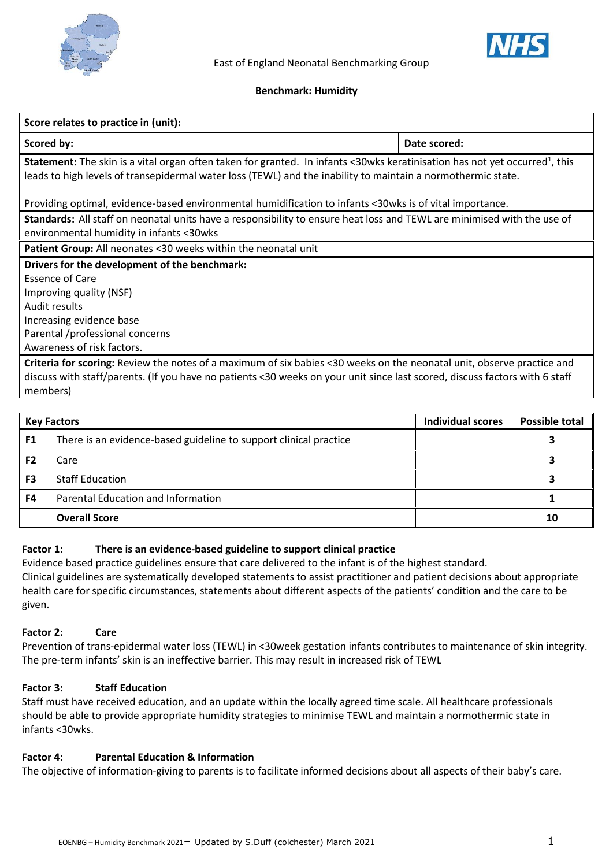



### **Benchmark: Humidity**

| Score relates to practice in (unit):                                                                                                                                                                                                                           |              |  |  |  |  |  |
|----------------------------------------------------------------------------------------------------------------------------------------------------------------------------------------------------------------------------------------------------------------|--------------|--|--|--|--|--|
| Scored by:                                                                                                                                                                                                                                                     | Date scored: |  |  |  |  |  |
| <b>Statement:</b> The skin is a vital organ often taken for granted. In infants <30wks keratinisation has not yet occurred <sup>1</sup> , this<br>leads to high levels of transepidermal water loss (TEWL) and the inability to maintain a normothermic state. |              |  |  |  |  |  |
| Providing optimal, evidence-based environmental humidification to infants <30wks is of vital importance.                                                                                                                                                       |              |  |  |  |  |  |
| Standards: All staff on neonatal units have a responsibility to ensure heat loss and TEWL are minimised with the use of<br>environmental humidity in infants <30wks                                                                                            |              |  |  |  |  |  |
| Patient Group: All neonates <30 weeks within the neonatal unit                                                                                                                                                                                                 |              |  |  |  |  |  |
| Drivers for the development of the benchmark:                                                                                                                                                                                                                  |              |  |  |  |  |  |
| <b>Essence of Care</b>                                                                                                                                                                                                                                         |              |  |  |  |  |  |
| Improving quality (NSF)                                                                                                                                                                                                                                        |              |  |  |  |  |  |
| Audit results                                                                                                                                                                                                                                                  |              |  |  |  |  |  |
| Increasing evidence base                                                                                                                                                                                                                                       |              |  |  |  |  |  |
| Parental /professional concerns                                                                                                                                                                                                                                |              |  |  |  |  |  |
| Awareness of risk factors.                                                                                                                                                                                                                                     |              |  |  |  |  |  |
| Criteria for scoring: Review the notes of a maximum of six babies <30 weeks on the neonatal unit, observe practice and                                                                                                                                         |              |  |  |  |  |  |
| discuss with staff/parents. (If you have no patients <30 weeks on your unit since last scored, discuss factors with 6 staff                                                                                                                                    |              |  |  |  |  |  |
| members)                                                                                                                                                                                                                                                       |              |  |  |  |  |  |

|                | <b>Key Factors</b>                                                | <b>Individual scores</b> | <b>Possible total</b> |
|----------------|-------------------------------------------------------------------|--------------------------|-----------------------|
| F1             | There is an evidence-based guideline to support clinical practice |                          |                       |
| F <sub>2</sub> | Care                                                              |                          |                       |
| F <sub>3</sub> | <b>Staff Education</b>                                            |                          |                       |
| F4             | Parental Education and Information                                |                          |                       |
|                | <b>Overall Score</b>                                              |                          | 10                    |

## **Factor 1: There is an evidence-based guideline to support clinical practice**

Evidence based practice guidelines ensure that care delivered to the infant is of the highest standard. Clinical guidelines are systematically developed statements to assist practitioner and patient decisions about appropriate health care for specific circumstances, statements about different aspects of the patients' condition and the care to be given.

## **Factor 2: Care**

Prevention of trans-epidermal water loss (TEWL) in <30week gestation infants contributes to maintenance of skin integrity. The pre-term infants' skin is an ineffective barrier. This may result in increased risk of TEWL

# **Factor 3: Staff Education**

Staff must have received education, and an update within the locally agreed time scale. All healthcare professionals should be able to provide appropriate humidity strategies to minimise TEWL and maintain a normothermic state in infants <30wks.

## **Factor 4: Parental Education & Information**

The objective of information-giving to parents is to facilitate informed decisions about all aspects of their baby's care.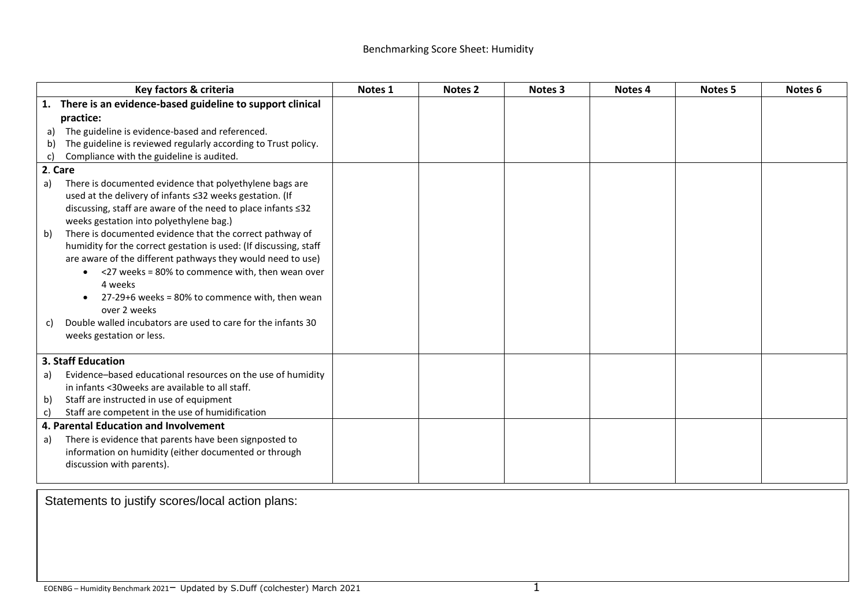|                                       | Key factors & criteria                                            | Notes <sub>1</sub> | Notes <sub>2</sub> | Notes 3 | Notes 4 | Notes <sub>5</sub> | Notes <sub>6</sub> |
|---------------------------------------|-------------------------------------------------------------------|--------------------|--------------------|---------|---------|--------------------|--------------------|
|                                       | 1. There is an evidence-based guideline to support clinical       |                    |                    |         |         |                    |                    |
| practice:                             |                                                                   |                    |                    |         |         |                    |                    |
| a)                                    | The guideline is evidence-based and referenced.                   |                    |                    |         |         |                    |                    |
| b)                                    | The guideline is reviewed regularly according to Trust policy.    |                    |                    |         |         |                    |                    |
| C)                                    | Compliance with the guideline is audited.                         |                    |                    |         |         |                    |                    |
|                                       | 2. Care                                                           |                    |                    |         |         |                    |                    |
| a)                                    | There is documented evidence that polyethylene bags are           |                    |                    |         |         |                    |                    |
|                                       | used at the delivery of infants ≤32 weeks gestation. (If          |                    |                    |         |         |                    |                    |
|                                       | discussing, staff are aware of the need to place infants ≤32      |                    |                    |         |         |                    |                    |
|                                       | weeks gestation into polyethylene bag.)                           |                    |                    |         |         |                    |                    |
| b)                                    | There is documented evidence that the correct pathway of          |                    |                    |         |         |                    |                    |
|                                       | humidity for the correct gestation is used: (If discussing, staff |                    |                    |         |         |                    |                    |
|                                       | are aware of the different pathways they would need to use)       |                    |                    |         |         |                    |                    |
|                                       | $\bullet$ <27 weeks = 80% to commence with, then wean over        |                    |                    |         |         |                    |                    |
|                                       | 4 weeks                                                           |                    |                    |         |         |                    |                    |
|                                       | 27-29+6 weeks = 80% to commence with, then wean                   |                    |                    |         |         |                    |                    |
|                                       | over 2 weeks                                                      |                    |                    |         |         |                    |                    |
| C)                                    | Double walled incubators are used to care for the infants 30      |                    |                    |         |         |                    |                    |
|                                       | weeks gestation or less.                                          |                    |                    |         |         |                    |                    |
| 3. Staff Education                    |                                                                   |                    |                    |         |         |                    |                    |
| a)                                    | Evidence-based educational resources on the use of humidity       |                    |                    |         |         |                    |                    |
|                                       | in infants <30 weeks are available to all staff.                  |                    |                    |         |         |                    |                    |
| b)                                    | Staff are instructed in use of equipment                          |                    |                    |         |         |                    |                    |
| c)                                    | Staff are competent in the use of humidification                  |                    |                    |         |         |                    |                    |
| 4. Parental Education and Involvement |                                                                   |                    |                    |         |         |                    |                    |
| a)                                    | There is evidence that parents have been signposted to            |                    |                    |         |         |                    |                    |
|                                       | information on humidity (either documented or through             |                    |                    |         |         |                    |                    |
|                                       | discussion with parents).                                         |                    |                    |         |         |                    |                    |
|                                       |                                                                   |                    |                    |         |         |                    |                    |

Statements to justify scores/local action plans: